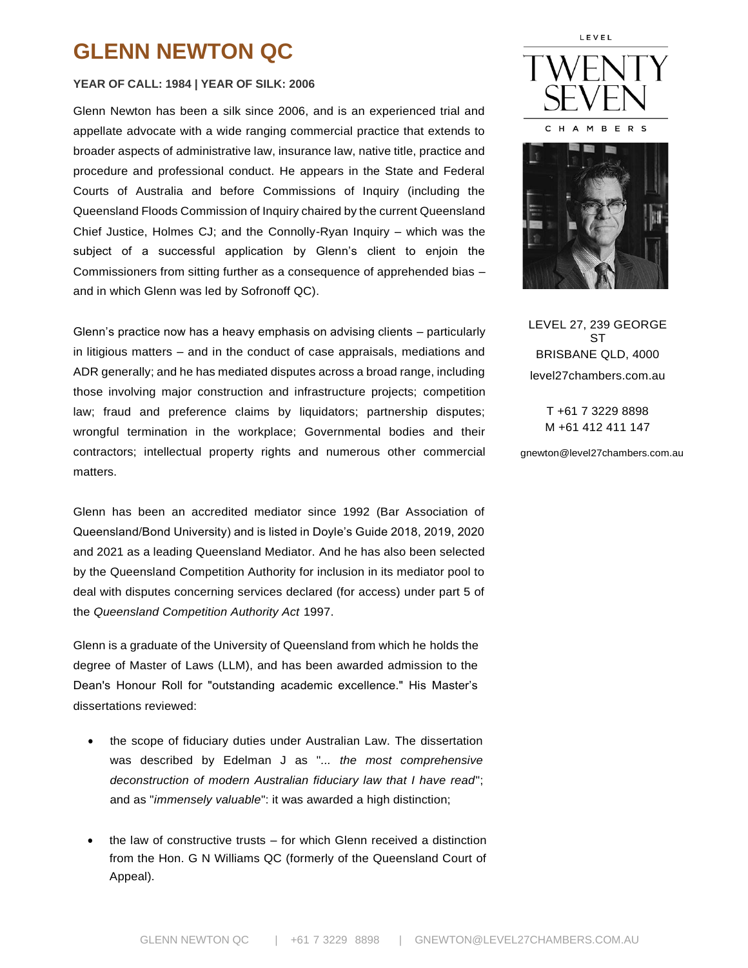# **GLENN NEWTON QC**

#### **YEAR OF CALL: 1984 | YEAR OF SILK: 2006**

Glenn Newton has been a silk since 2006, and is an experienced trial and appellate advocate with a wide ranging commercial practice that extends to broader aspects of administrative law, insurance law, native title, practice and procedure and professional conduct. He appears in the State and Federal Courts of Australia and before Commissions of Inquiry (including the Queensland Floods Commission of Inquiry chaired by the current Queensland Chief Justice, Holmes CJ; and the Connolly-Ryan Inquiry – which was the subject of a successful application by Glenn's client to enjoin the Commissioners from sitting further as a consequence of apprehended bias – and in which Glenn was led by Sofronoff QC).

Glenn's practice now has a heavy emphasis on advising clients – particularly in litigious matters – and in the conduct of case appraisals, mediations and ADR generally; and he has mediated disputes across a broad range, including those involving major construction and infrastructure projects; competition law; fraud and preference claims by liquidators; partnership disputes; wrongful termination in the workplace; Governmental bodies and their contractors; intellectual property rights and numerous other commercial matters.

Glenn has been an accredited mediator since 1992 (Bar Association of Queensland/Bond University) and is listed in Doyle's Guide 2018, 2019, 2020 and 2021 as a leading Queensland Mediator. And he has also been selected by the Queensland Competition Authority for inclusion in its mediator pool to deal with disputes concerning services declared (for access) under part 5 of the *Queensland Competition Authority Act* 1997.

Glenn is a graduate of the University of Queensland from which he holds the degree of Master of Laws (LLM), and has been awarded admission to the Dean's Honour Roll for "outstanding academic excellence." His Master's dissertations reviewed:

- the scope of fiduciary duties under Australian Law. The dissertation was described by Edelman J as "*... the most comprehensive deconstruction of modern Australian fiduciary law that I have read*"; and as "*immensely valuable*": it was awarded a high distinction;
- the law of constructive trusts for which Glenn received a distinction from the Hon. G N Williams QC (formerly of the Queensland Court of Appeal).





LEVEL 27, 239 GEORGE ST BRISBANE QLD, 4000 level27chambers.com.au

> T +61 7 3229 8898 M +61 412 411 147

gnewton@level27chambers.com.au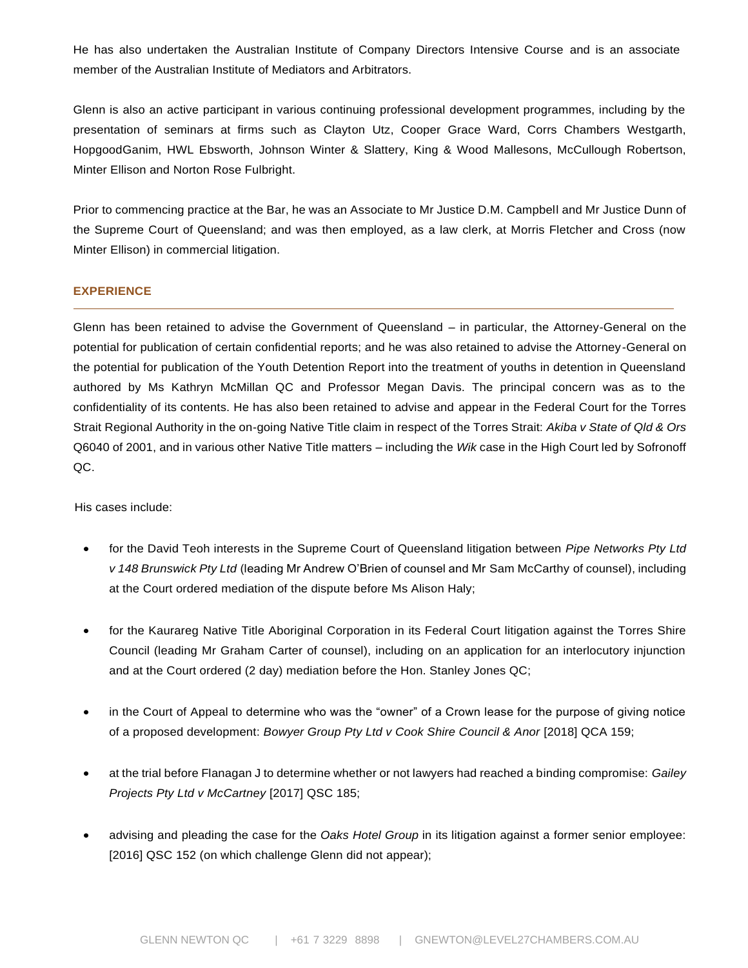He has also undertaken the Australian Institute of Company Directors Intensive Course and is an associate member of the Australian Institute of Mediators and Arbitrators.

Glenn is also an active participant in various continuing professional development programmes, including by the presentation of seminars at firms such as Clayton Utz, Cooper Grace Ward, Corrs Chambers Westgarth, HopgoodGanim, HWL Ebsworth, Johnson Winter & Slattery, King & Wood Mallesons, McCullough Robertson, Minter Ellison and Norton Rose Fulbright.

Prior to commencing practice at the Bar, he was an Associate to Mr Justice D.M. Campbell and Mr Justice Dunn of the Supreme Court of Queensland; and was then employed, as a law clerk, at Morris Fletcher and Cross (now Minter Ellison) in commercial litigation.

# **EXPERIENCE**

Glenn has been retained to advise the Government of Queensland – in particular, the Attorney-General on the potential for publication of certain confidential reports; and he was also retained to advise the Attorney-General on the potential for publication of the Youth Detention Report into the treatment of youths in detention in Queensland authored by Ms Kathryn McMillan QC and Professor Megan Davis. The principal concern was as to the confidentiality of its contents. He has also been retained to advise and appear in the Federal Court for the Torres Strait Regional Authority in the on-going Native Title claim in respect of the Torres Strait: *Akiba v State of Qld & Ors* Q6040 of 2001, and in various other Native Title matters – including the *Wik* case in the High Court led by Sofronoff QC.

His cases include:

- for the David Teoh interests in the Supreme Court of Queensland litigation between *Pipe Networks Pty Ltd v 148 Brunswick Pty Ltd* (leading Mr Andrew O'Brien of counsel and Mr [Sam McCarthy](https://www.level27chambers.com.au/barristers/sam-mccarthy/) of counsel), including at the Court ordered mediation of the dispute before Ms Alison Haly;
- for the Kaurareg Native Title Aboriginal Corporation in its Federal Court litigation against the Torres Shire Council (leading Mr Graham Carter of counsel), including on an application for an interlocutory injunction and at the Court ordered (2 day) mediation before the Hon. Stanley Jones QC;
- in the Court of Appeal to determine who was the "owner" of a Crown lease for the purpose of giving notice of a proposed development: *Bowyer Group Pty Ltd v Cook Shire Council & Anor* [2018] QCA 159;
- at the trial before Flanagan J to determine whether or not lawyers had reached a binding compromise: *Gailey Projects Pty Ltd v McCartney* [2017] QSC 185;
- advising and pleading the case for the *Oaks Hotel Group* in its litigation against a former senior employee: [2016] QSC 152 (on which challenge Glenn did not appear);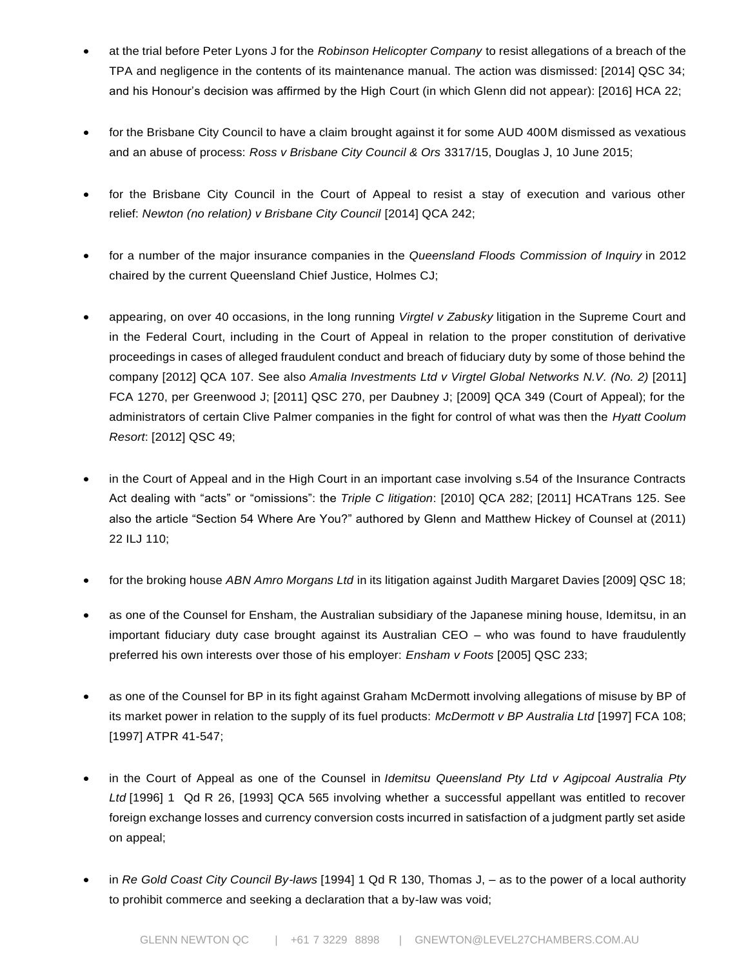- at the trial before Peter Lyons J for the *Robinson Helicopter Company* to resist allegations of a breach of the TPA and negligence in the contents of its maintenance manual. The action was dismissed: [2014] QSC 34; and his Honour's decision was affirmed by the High Court (in which Glenn did not appear): [2016] HCA 22;
- for the Brisbane City Council to have a claim brought against it for some AUD 400M dismissed as vexatious and an abuse of process: *Ross v Brisbane City Council & Ors* 3317/15, Douglas J, 10 June 2015;
- for the Brisbane City Council in the Court of Appeal to resist a stay of execution and various other relief: *Newton (no relation) v Brisbane City Council* [2014] QCA 242;
- for a number of the major insurance companies in the *Queensland Floods Commission of Inquiry* in 2012 chaired by the current Queensland Chief Justice, Holmes CJ;
- appearing, on over 40 occasions, in the long running *Virgtel v Zabusky* litigation in the Supreme Court and in the Federal Court, including in the Court of Appeal in relation to the proper constitution of derivative proceedings in cases of alleged fraudulent conduct and breach of fiduciary duty by some of those behind the company [2012] QCA 107. See also *Amalia Investments Ltd v Virgtel Global Networks N.V. (No. 2)* [2011] FCA 1270, per Greenwood J; [2011] QSC 270, per Daubney J; [2009] QCA 349 (Court of Appeal); for the administrators of certain Clive Palmer companies in the fight for control of what was then the *Hyatt Coolum Resort*: [2012] QSC 49;
- in the Court of Appeal and in the High Court in an important case involving s.54 of the Insurance Contracts Act dealing with "acts" or "omissions": the *Triple C litigation*: [2010] QCA 282; [2011] HCATrans 125. See also the article "Section 54 Where Are You?" authored by Glenn and Matthew Hickey of Counsel at (2011) 22 ILJ 110;
- for the broking house *ABN Amro Morgans Ltd* in its litigation against Judith Margaret Davies [2009] QSC 18;
- as one of the Counsel for Ensham, the Australian subsidiary of the Japanese mining house, Idemitsu, in an important fiduciary duty case brought against its Australian CEO – who was found to have fraudulently preferred his own interests over those of his employer: *Ensham v Foots* [2005] QSC 233;
- as one of the Counsel for BP in its fight against Graham McDermott involving allegations of misuse by BP of its market power in relation to the supply of its fuel products: *McDermott v BP Australia Ltd* [1997] FCA 108; [1997] ATPR 41-547;
- in the Court of Appeal as one of the Counsel in *Idemitsu Queensland Pty Ltd v Agipcoal Australia Pty Ltd* [1996] 1 Qd R 26, [1993] QCA 565 involving whether a successful appellant was entitled to recover foreign exchange losses and currency conversion costs incurred in satisfaction of a judgment partly set aside on appeal;
- in *Re Gold Coast City Council By-laws* [1994] 1 Qd R 130, Thomas J, as to the power of a local authority to prohibit commerce and seeking a declaration that a by-law was void;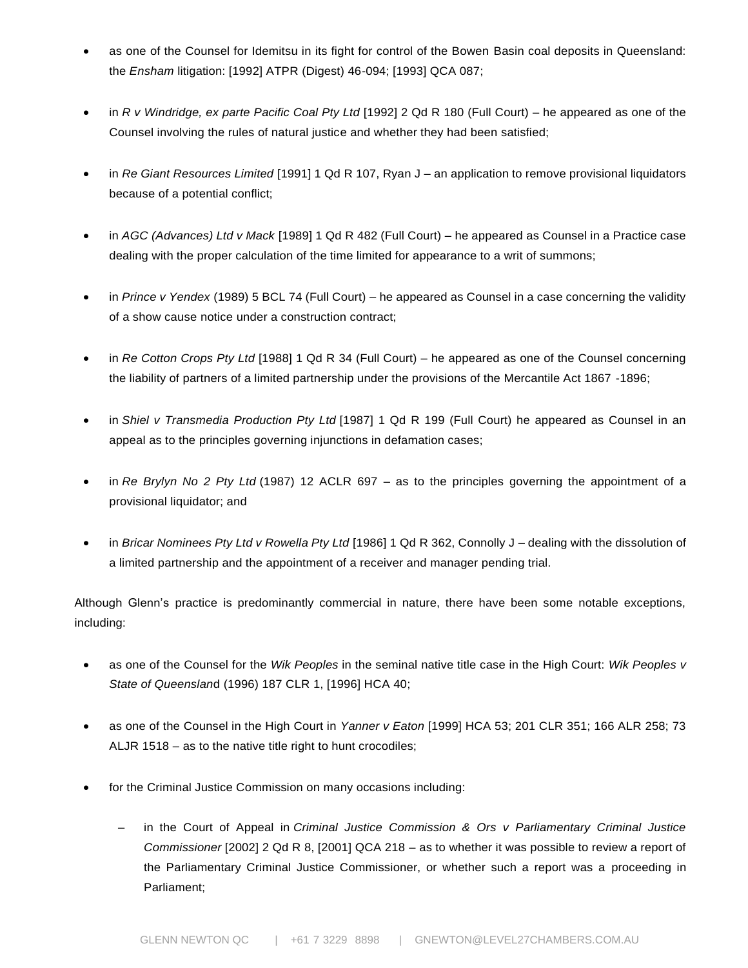- as one of the Counsel for Idemitsu in its fight for control of the Bowen Basin coal deposits in Queensland: the *Ensham* litigation: [1992] ATPR (Digest) 46-094; [1993] QCA 087;
- in *R v Windridge, ex parte Pacific Coal Pty Ltd* [1992] 2 Qd R 180 (Full Court) he appeared as one of the Counsel involving the rules of natural justice and whether they had been satisfied;
- in *Re Giant Resources Limited* [1991] 1 Qd R 107, Ryan J an application to remove provisional liquidators because of a potential conflict;
- in *AGC (Advances) Ltd v Mack* [1989] 1 Qd R 482 (Full Court) he appeared as Counsel in a Practice case dealing with the proper calculation of the time limited for appearance to a writ of summons;
- in *Prince v Yendex* (1989) 5 BCL 74 (Full Court) he appeared as Counsel in a case concerning the validity of a show cause notice under a construction contract;
- in *Re Cotton Crops Pty Ltd* [1988] 1 Qd R 34 (Full Court) he appeared as one of the Counsel concerning the liability of partners of a limited partnership under the provisions of the Mercantile Act 1867 -1896;
- in *Shiel v Transmedia Production Pty Ltd* [1987] 1 Qd R 199 (Full Court) he appeared as Counsel in an appeal as to the principles governing injunctions in defamation cases;
- in *Re Brylyn No 2 Pty Ltd* (1987) 12 ACLR 697 as to the principles governing the appointment of a provisional liquidator; and
- in *Bricar Nominees Pty Ltd v Rowella Pty Ltd* [1986] 1 Qd R 362, Connolly J dealing with the dissolution of a limited partnership and the appointment of a receiver and manager pending trial.

Although Glenn's practice is predominantly commercial in nature, there have been some notable exceptions, including:

- as one of the Counsel for the *Wik Peoples* in the seminal native title case in the High Court: *Wik Peoples v State of Queenslan*d (1996) 187 CLR 1, [1996] HCA 40;
- as one of the Counsel in the High Court in *Yanner v Eaton* [1999] HCA 53; 201 CLR 351; 166 ALR 258; 73 ALJR 1518 – as to the native title right to hunt crocodiles;
- for the Criminal Justice Commission on many occasions including:
	- in the Court of Appeal in *Criminal Justice Commission & Ors v Parliamentary Criminal Justice Commissioner* [2002] 2 Qd R 8, [2001] QCA 218 – as to whether it was possible to review a report of the Parliamentary Criminal Justice Commissioner, or whether such a report was a proceeding in Parliament;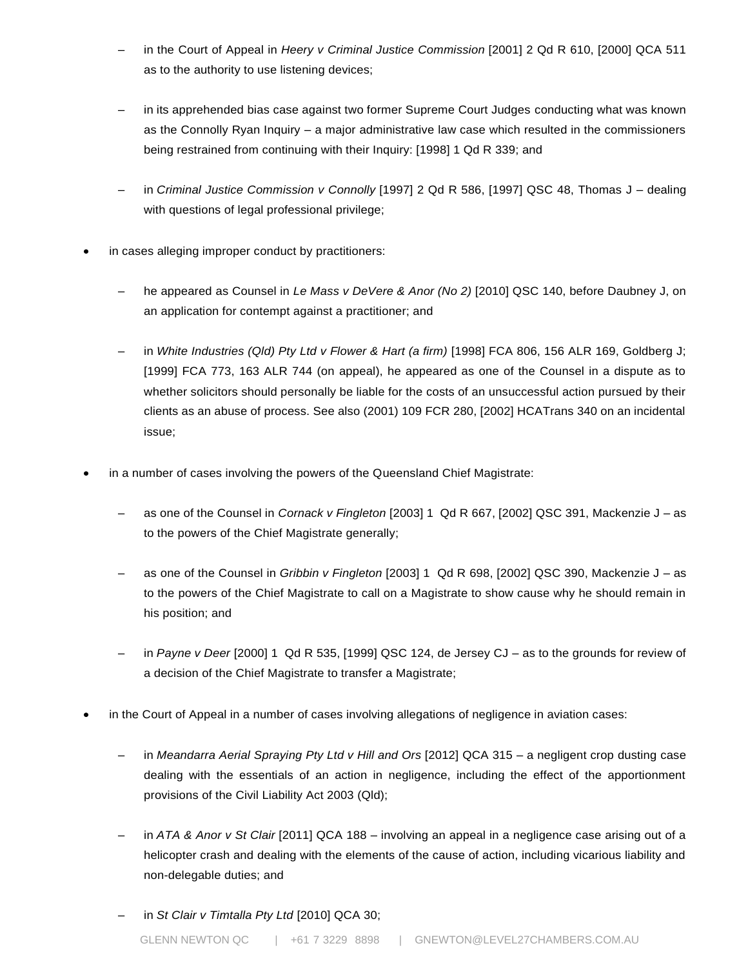- in the Court of Appeal in *Heery v Criminal Justice Commission* [2001] 2 Qd R 610, [2000] QCA 511 as to the authority to use listening devices;
- in its apprehended bias case against two former Supreme Court Judges conducting what was known as the Connolly Ryan Inquiry – a major administrative law case which resulted in the commissioners being restrained from continuing with their Inquiry: [1998] 1 Qd R 339; and
- in *Criminal Justice Commission v Connolly* [1997] 2 Qd R 586, [1997] QSC 48, Thomas J dealing with questions of legal professional privilege;
- in cases alleging improper conduct by practitioners:
	- he appeared as Counsel in *Le Mass v DeVere & Anor (No 2)* [2010] QSC 140, before Daubney J, on an application for contempt against a practitioner; and
	- in *White Industries (Qld) Pty Ltd v Flower & Hart (a firm)* [1998] FCA 806, 156 ALR 169, Goldberg J; [1999] FCA 773, 163 ALR 744 (on appeal), he appeared as one of the Counsel in a dispute as to whether solicitors should personally be liable for the costs of an unsuccessful action pursued by their clients as an abuse of process. See also (2001) 109 FCR 280, [2002] HCATrans 340 on an incidental issue;
- in a number of cases involving the powers of the Queensland Chief Magistrate:
	- as one of the Counsel in *Cornack v Fingleton* [2003] 1 Qd R 667, [2002] QSC 391, Mackenzie J as to the powers of the Chief Magistrate generally;
	- as one of the Counsel in *Gribbin v Fingleton* [2003] 1 Qd R 698, [2002] QSC 390, Mackenzie J as to the powers of the Chief Magistrate to call on a Magistrate to show cause why he should remain in his position; and
	- in *Payne v Deer* [2000] 1 Qd R 535, [1999] QSC 124, de Jersey CJ as to the grounds for review of a decision of the Chief Magistrate to transfer a Magistrate;
- in the Court of Appeal in a number of cases involving allegations of negligence in aviation cases:
	- in *Meandarra Aerial Spraying Pty Ltd v Hill and Ors* [2012] QCA 315 a negligent crop dusting case dealing with the essentials of an action in negligence, including the effect of the apportionment provisions of the Civil Liability Act 2003 (Qld);
	- in *ATA & Anor v St Clair* [2011] QCA 188 involving an appeal in a negligence case arising out of a helicopter crash and dealing with the elements of the cause of action, including vicarious liability and non-delegable duties; and
	- in *St Clair v Timtalla Pty Ltd* [2010] QCA 30;